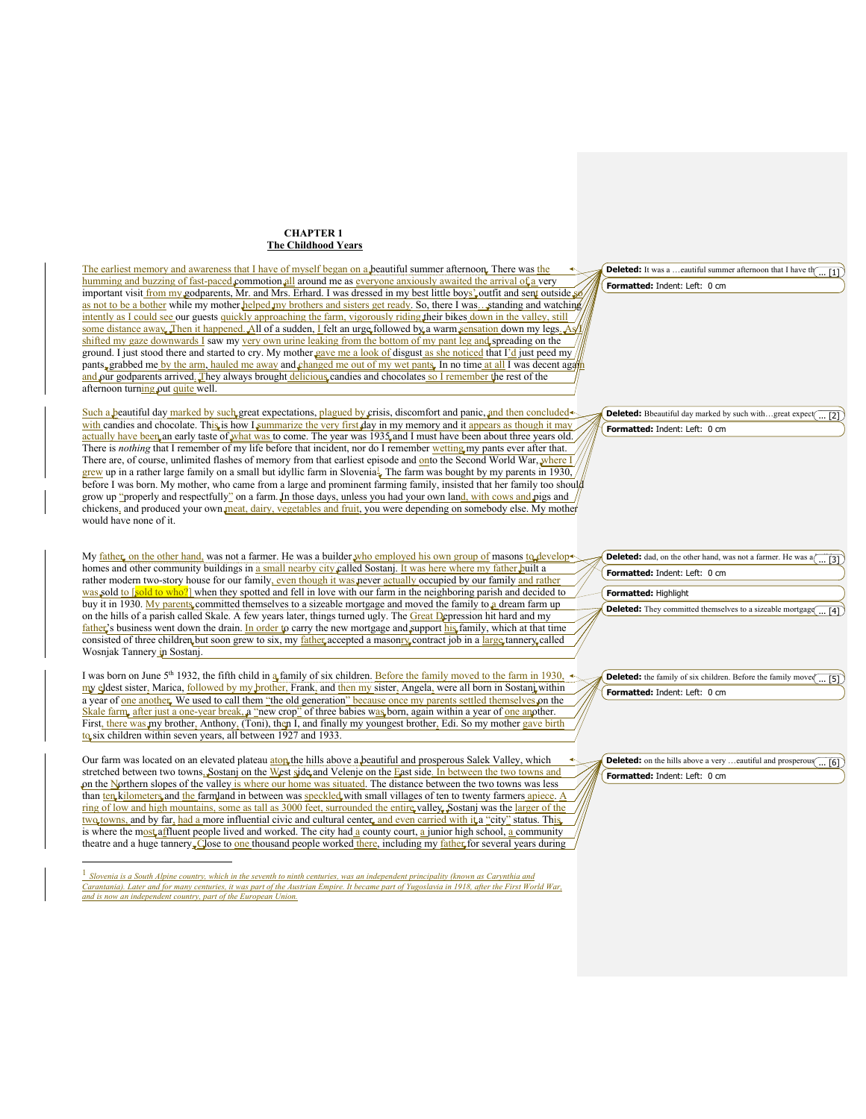## **CHAPTER 1 The Childhood Years**

The earliest memory and awareness that I have of myself began on a beautiful summer afternoon. There was the humming and buzzing of fast-paced commotion all around me as everyone anxiously awaited the arrival of a very important visit from my godparents, Mr. and Mrs. Erhard. I was dressed in my best little boys' outfit and sent outside as not to be a bother while my mother helped my brothers and sisters get ready. So, there I was…standing and watching intently as I could see our guests quickly approaching the farm, vigorously riding their bikes down in the valley, still some distance away. Then it happened. All of a sudden, I felt an urge followed by a warm sensation down my legs. As shifted my gaze downwards I saw my very own urine leaking from the bottom of my pant leg and spreading on the ground. I just stood there and started to cry. My mother gave me a look of disgust as she noticed that I'd just peed my pants, grabbed me by the arm, hauled me away and changed me out of my wet pants. In no time at all I was decent against and our godparents arrived. They always brought delicious candies and chocolates so I remember the rest of the afternoon turning out quite well.

Such a beautiful day marked by such great expectations, plagued by crisis, discomfort and panic, and then concluded with candies and chocolate. This is how I summarize the very first day in my memory and it appears as though it may actually have been an early taste of what was to come. The year was 1935 and I must have been about three years old. There is *nothing* that I remember of my life before that incident, nor do I remember wetting my pants ever after that. There are, of course, unlimited flashes of memory from that earliest episode and onto the Second World War, where I grew up in a rather large family on a small but idyllic farm in Slovenia. The farm was bought by my parents in 1930, before I was born. My mother, who came from a large and prominent farming family, insisted that her family too should grow up "properly and respectfully" on a farm. In those days, unless you had your own land, with cows and pigs and chickens, and produced your own meat, dairy, vegetables and fruit, you were depending on somebody else. My mother would have none of it.

My father, on the other hand, was not a farmer. He was a builder who employed his own group of masons to develop homes and other community buildings in a small nearby city called Sostanj. It was here where my father built a rather modern two-story house for our family, even though it was never actually occupied by our family and rather was sold to [sold to who?] when they spotted and fell in love with our farm in the neighboring parish and decided to buy it in 1930. My parents committed themselves to a sizeable mortgage and moved the family to a dream farm up on the hills of a parish called Skale. A few years later, things turned ugly. The Great Depression hit hard and my father's business went down the drain. In order to carry the new mortgage and support his family, which at that time consisted of three children, but soon grew to six, my  $\frac{\text{father}}{\text{ache}}$  accepted a masonry contract job in a large tannery, called Wosnjak Tannery in Sostanj.

I was born on June 5<sup>th</sup> 1932, the fifth child in  $\frac{a}{2}$  family of six children. Before the family moved to the farm in 1930, my eldest sister, Marica, followed by my brother, Frank, and then my sister, Angela, were all born in Sostanj within a year of <u>one another</u>. We used to call them "the old generation" because once my parents settled themselves on the Skale farm, after just a one-year break,  $\hat{a}$  "new crop" of three babies was born, again within a year of <u>one an</u>other. First, there was my brother, Anthony, (Toni), then I, and finally my youngest brother, Edi. So my mother gave birth to six children within seven years, all between 1927 and 1933.

Our farm was located on an elevated plateau atop the hills above a beautiful and prosperous Salek Valley, which stretched between two towns, Sostanj on the West side and Velenje on the East side. In between the two towns and on the Northern slopes of the valley is where our home was situated. The distance between the two towns was less than ten kilometers and the farmland in between was speckled with small villages of ten to twenty farmers apiece. ring of low and high mountains, some as tall as 3000 feet, surrounded the entire valley. Sostanj was the larger of the two towns, and by far, had a more influential civic and cultural center, and even carried with it a "city" status. This is where the most affluent people lived and worked. The city had a county court, a junior high school, a community theatre and a huge tannery. Close to one thousand people worked there, including my father for several years during

*Slovenia is a South Alpine country, which in the seventh to ninth centuries, was an independent principality (known as Carynthia and Carantania). Later and for many centuries, it was part of the Austrian Empire. It became part of Yugoslavia in 1918, after the First World War, and is now an independent country, part of the European Union.*

**Formatted:** Indent: Left: 0 cm **Deleted:** It was a ... eautiful summer afternoon that I have the  $\binom{1}{n}$ 

**Formatted:** Indent: Left: 0 cm **Deleted:** Bbeautiful day marked by such with...great expect(... [2]

| <b>Deleted:</b> dad, on the other hand, was not a farmer. He was $a \overline{ \overline{ \overline{31}}}$ |
|------------------------------------------------------------------------------------------------------------|
| Formatted: Indent: Left: 0 cm                                                                              |
| <b>Formatted:</b> Highlight                                                                                |

**Deleted:** They committed themselves to a sizeable mortgage  $\overline{a}$  (4]

**Formatted:** Indent: Left: 0 cm **Deleted:** the family of six children. Before the family move $\left(\frac{\pi}{\pi} \right)$ 

**Formatted:** Indent: Left: 0 cm **Deleted:** on the hills above a very ... eautiful and prosperous  $\overline{...}$  [6]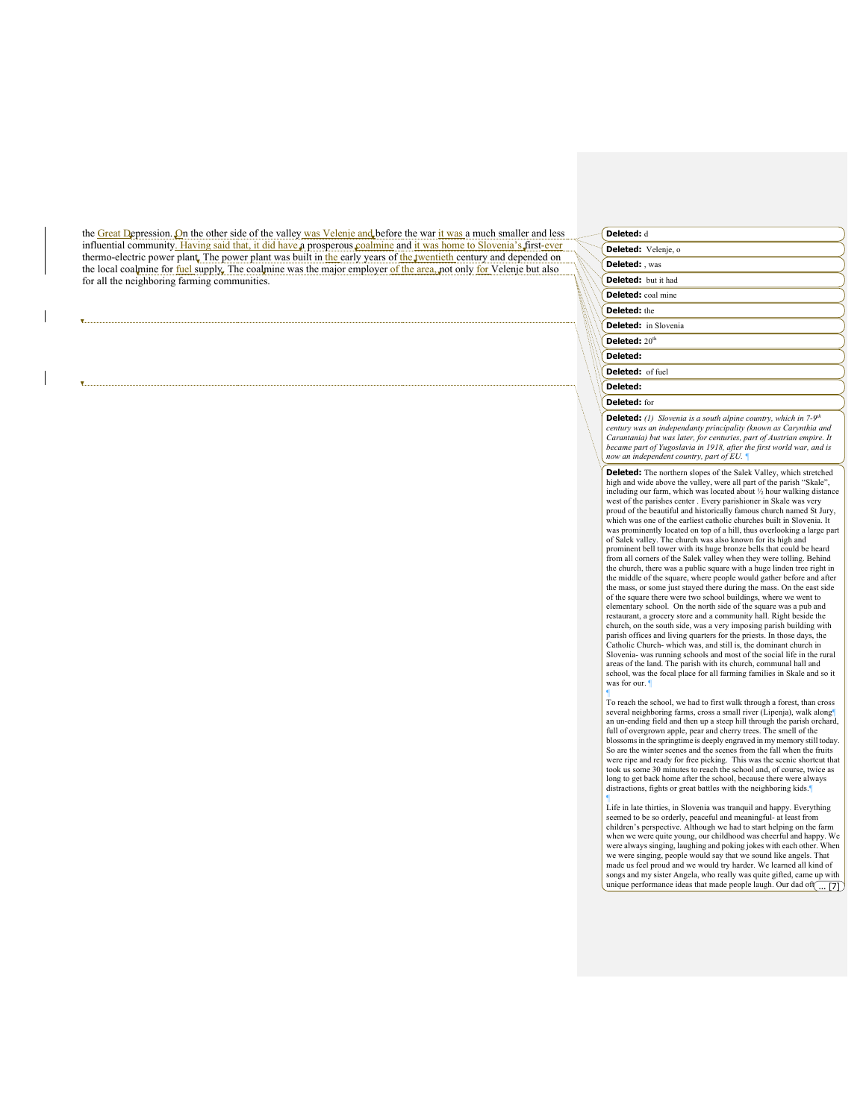the Great Depression. On the other side of the valley was Velenje and before the war it was a much smaller and less influential community. Having said that, it did have a prosperous coalmine and it was home to Slovenia's first-ever thermo-electric power plant. The power plant was built in the early years of the twentieth century and depended on the local coalmine for fuel supply. The coalmine was the major employer of the area, not only for Velenje but also for all the neighboring farming communities.

## **Deleted:** d

| Deleted: Velenje, o         |  |
|-----------------------------|--|
| Deleted: , was              |  |
| <b>Deleted:</b> but it had  |  |
| <b>Deleted:</b> coal mine   |  |
| <b>Deleted:</b> the         |  |
| <b>Deleted:</b> in Slovenia |  |
| Deleted: $20th$             |  |
| Deleted:                    |  |
| Deleted: of fuel            |  |
| Deleted:                    |  |
| Deleted: for                |  |

**Deleted:** (1) Slovenia is a south alpine country, which in 7-9<sup>th</sup> *century was an independanty principality (known as Carynthia and Carantania) but was later, for centuries, part of Austrian empire. It became part of Yugoslavia in 1918, after the first world war, and is now an independent country, part of EU. ¶*

**Deleted:** The northern slopes of the Salek Valley, which stretched high and wide above the valley, were all part of the parish "Skale", including our farm, which was located about 1/2 hour walking distance west of the parishes center . Every parishioner in Skale was very proud of the beautiful and historically famous church named St Jury, which was one of the earliest catholic churches built in Slovenia. It was prominently located on top of a hill, thus overlooking a large part of Salek valley. The church was also known for its high and prominent bell tower with its huge bronze bells that could be heard from all corners of the Salek valley when they were tolling. Behind the church, there was a public square with a huge linden tree right in the middle of the square, where people would gather before and after the mass, or some just stayed there during the mass. On the east side of the square there were two school buildings, where we went to elementary school. On the north side of the square was a pub and restaurant, a grocery store and a community hall. Right beside the church, on the south side, was a very imposing parish building with parish offices and living quarters for the priests. In those days, the Catholic Church- which was, and still is, the dominant church in Slovenia- was running schools and most of the social life in the rural areas of the land. The parish with its church, communal hall and school, was the focal place for all farming families in Skale and so it was for our.

¶ To reach the school, we had to first walk through a forest, than cross several neighboring farms, cross a small river (Lipenja), walk along¶ an un-ending field and then up a steep hill through the parish orchard, full of overgrown apple, pear and cherry trees. The smell of the blossoms in the springtime is deeply engraved in my memory still today. So are the winter scenes and the scenes from the fall when the fruits were ripe and ready for free picking. This was the scenic shortcut that took us some 30 minutes to reach the school and, of course, twice as long to get back home after the school, because there were always distractions, fights or great battles with the neighboring kids.¶

¶ Life in late thirties, in Slovenia was tranquil and happy. Everything seemed to be so orderly, peaceful and meaningful- at least from children's perspective. Although we had to start helping on the farm when we were quite young, our childhood was cheerful and happy. We were always singing, laughing and poking jokes with each other. When we were singing, people would say that we sound like angels. That made us feel proud and we would try harder. We learned all kind of songs and my sister Angela, who really was quite gifted, came up with unique performance ideas that made people laugh. Our dad of  $\left(\frac{1}{\ldots 7}\right)$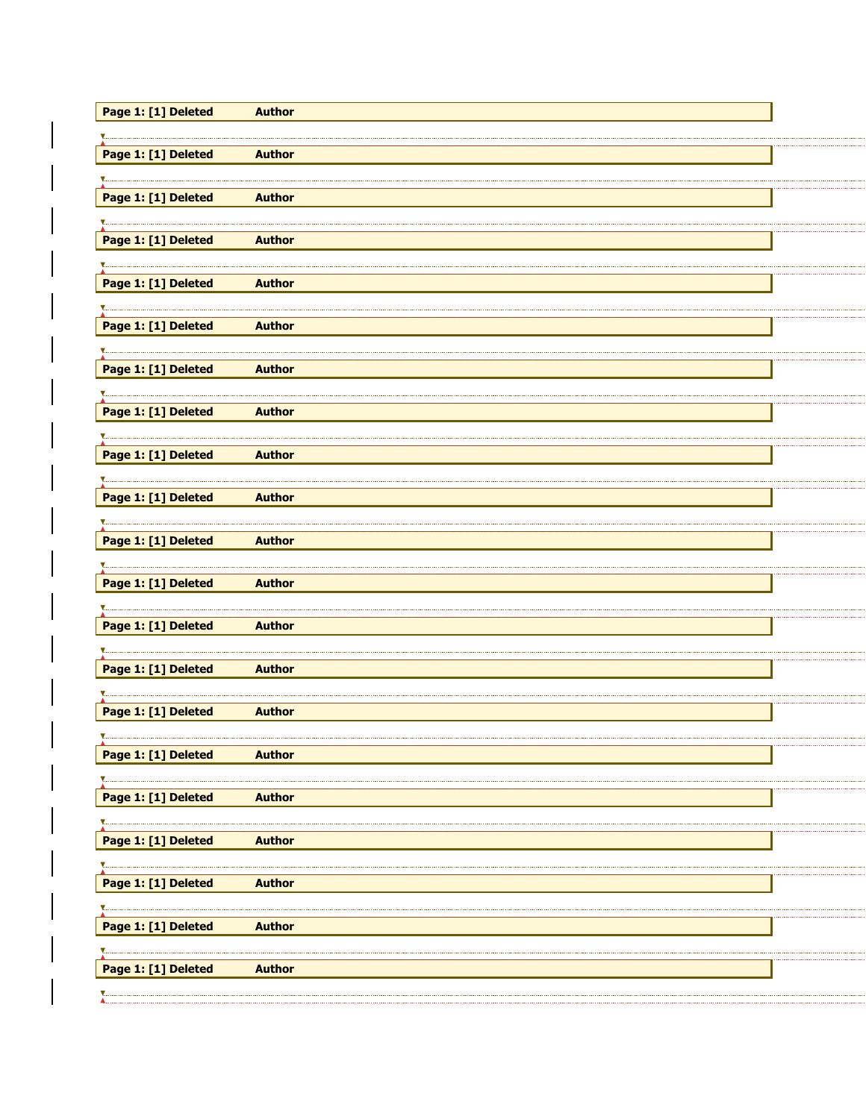| Page 1: [1] Deleted | <b>Author</b> |  |
|---------------------|---------------|--|
|                     |               |  |
| Page 1: [1] Deleted | <b>Author</b> |  |
|                     |               |  |
| Page 1: [1] Deleted | <b>Author</b> |  |
|                     |               |  |
| Page 1: [1] Deleted | <b>Author</b> |  |
|                     |               |  |
| Page 1: [1] Deleted | <b>Author</b> |  |
|                     |               |  |
| Page 1: [1] Deleted | <b>Author</b> |  |
|                     |               |  |
| Page 1: [1] Deleted | <b>Author</b> |  |
|                     |               |  |
| Page 1: [1] Deleted | <b>Author</b> |  |
|                     |               |  |
| Page 1: [1] Deleted | <b>Author</b> |  |
|                     |               |  |
| Page 1: [1] Deleted | <b>Author</b> |  |
|                     |               |  |
| Page 1: [1] Deleted | <b>Author</b> |  |
|                     |               |  |
| Page 1: [1] Deleted | <b>Author</b> |  |
|                     |               |  |
| Page 1: [1] Deleted | <b>Author</b> |  |
|                     |               |  |
| Page 1: [1] Deleted | <b>Author</b> |  |
|                     |               |  |
| Page 1: [1] Deleted | <b>Author</b> |  |
|                     |               |  |
| Page 1: [1] Deleted | <b>Author</b> |  |
|                     |               |  |
| Page 1: [1] Deleted | <b>Author</b> |  |
|                     |               |  |
| Page 1: [1] Deleted | <b>Author</b> |  |
|                     |               |  |
| Page 1: [1] Deleted | <b>Author</b> |  |
|                     |               |  |
| Page 1: [1] Deleted | <b>Author</b> |  |
|                     |               |  |
| Page 1: [1] Deleted | <b>Author</b> |  |
|                     |               |  |
|                     |               |  |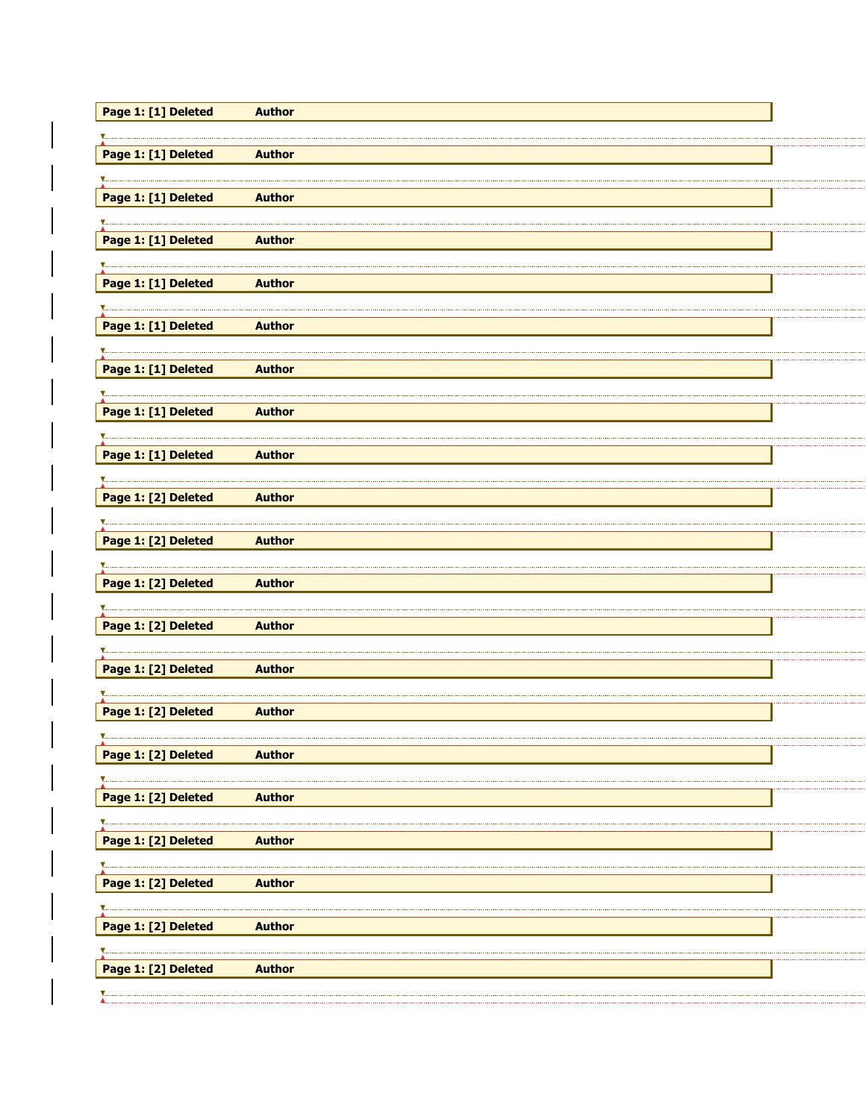| Page 1: [1] Deleted | <b>Author</b> |  |
|---------------------|---------------|--|
|                     |               |  |
| Page 1: [1] Deleted | <b>Author</b> |  |
|                     |               |  |
| Page 1: [1] Deleted | <b>Author</b> |  |
|                     |               |  |
| Page 1: [1] Deleted | <b>Author</b> |  |
|                     |               |  |
| Page 1: [1] Deleted | <b>Author</b> |  |
|                     |               |  |
| Page 1: [1] Deleted | <b>Author</b> |  |
|                     |               |  |
| Page 1: [1] Deleted | <b>Author</b> |  |
|                     |               |  |
| Page 1: [1] Deleted | <b>Author</b> |  |
|                     |               |  |
| Page 1: [1] Deleted | <b>Author</b> |  |
|                     |               |  |
| Page 1: [2] Deleted | <b>Author</b> |  |
|                     |               |  |
| Page 1: [2] Deleted | <b>Author</b> |  |
|                     |               |  |
| Page 1: [2] Deleted | <b>Author</b> |  |
|                     |               |  |
| Page 1: [2] Deleted | <b>Author</b> |  |
|                     |               |  |
| Page 1: [2] Deleted | <b>Author</b> |  |
|                     |               |  |
| Page 1: [2] Deleted | <b>Author</b> |  |
|                     |               |  |
| Page 1: [2] Deleted | <b>Author</b> |  |
|                     |               |  |
| Page 1: [2] Deleted | <b>Author</b> |  |
|                     |               |  |
| Page 1: [2] Deleted | <b>Author</b> |  |
|                     |               |  |
| Page 1: [2] Deleted | <b>Author</b> |  |
|                     |               |  |
| Page 1: [2] Deleted | <b>Author</b> |  |
|                     |               |  |
| Page 1: [2] Deleted | <b>Author</b> |  |
|                     |               |  |
|                     |               |  |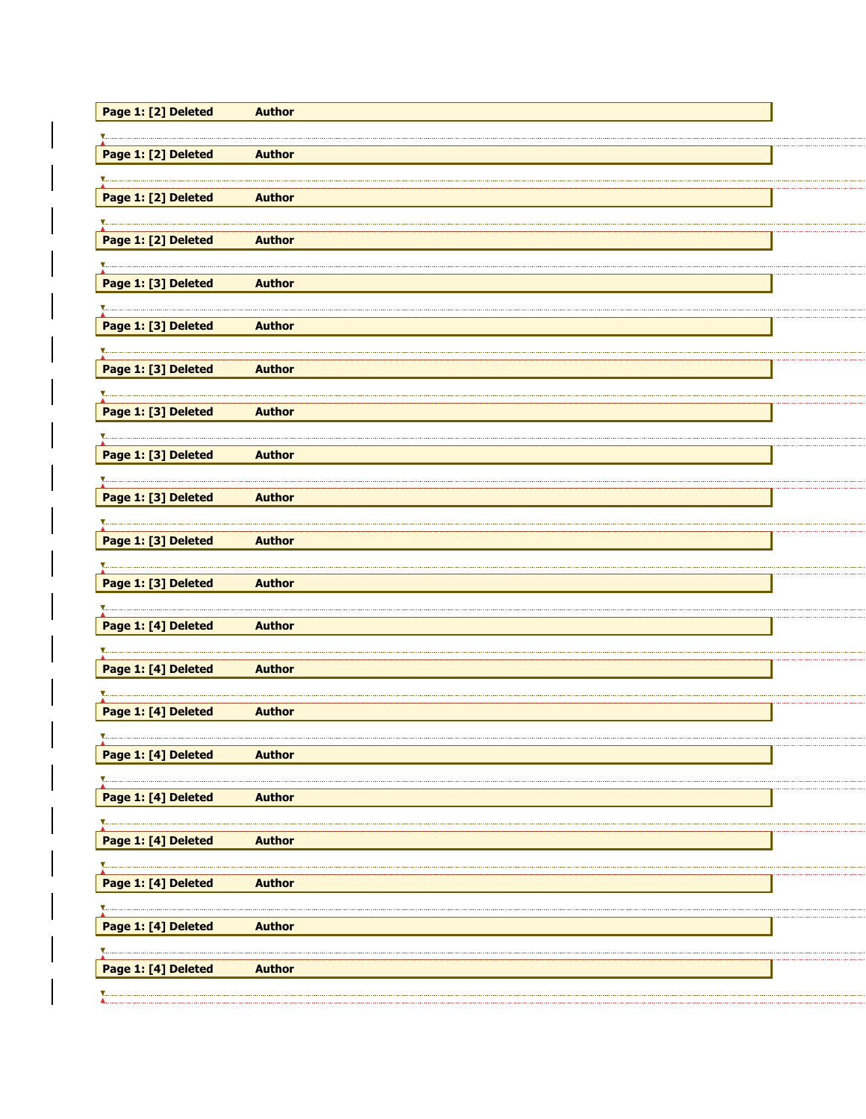| Page 1: [2] Deleted | <b>Author</b> |  |
|---------------------|---------------|--|
|                     |               |  |
| Page 1: [2] Deleted | <b>Author</b> |  |
|                     |               |  |
| Page 1: [2] Deleted | <b>Author</b> |  |
|                     |               |  |
| Page 1: [2] Deleted | <b>Author</b> |  |
|                     |               |  |
| Page 1: [3] Deleted | <b>Author</b> |  |
|                     |               |  |
| Page 1: [3] Deleted | <b>Author</b> |  |
|                     |               |  |
| Page 1: [3] Deleted | <b>Author</b> |  |
|                     |               |  |
| Page 1: [3] Deleted | <b>Author</b> |  |
|                     |               |  |
| Page 1: [3] Deleted | <b>Author</b> |  |
|                     |               |  |
| Page 1: [3] Deleted | <b>Author</b> |  |
|                     |               |  |
| Page 1: [3] Deleted | <b>Author</b> |  |
|                     |               |  |
| Page 1: [3] Deleted | <b>Author</b> |  |
|                     |               |  |
| Page 1: [4] Deleted | <b>Author</b> |  |
|                     |               |  |
| Page 1: [4] Deleted | <b>Author</b> |  |
|                     |               |  |
| Page 1: [4] Deleted | <b>Author</b> |  |
|                     |               |  |
| Page 1: [4] Deleted | <b>Author</b> |  |
|                     |               |  |
| Page 1: [4] Deleted | <b>Author</b> |  |
|                     |               |  |
| Page 1: [4] Deleted | <b>Author</b> |  |
|                     |               |  |
| Page 1: [4] Deleted | <b>Author</b> |  |
|                     |               |  |
| Page 1: [4] Deleted | <b>Author</b> |  |
|                     |               |  |
| Page 1: [4] Deleted | <b>Author</b> |  |
|                     |               |  |
|                     |               |  |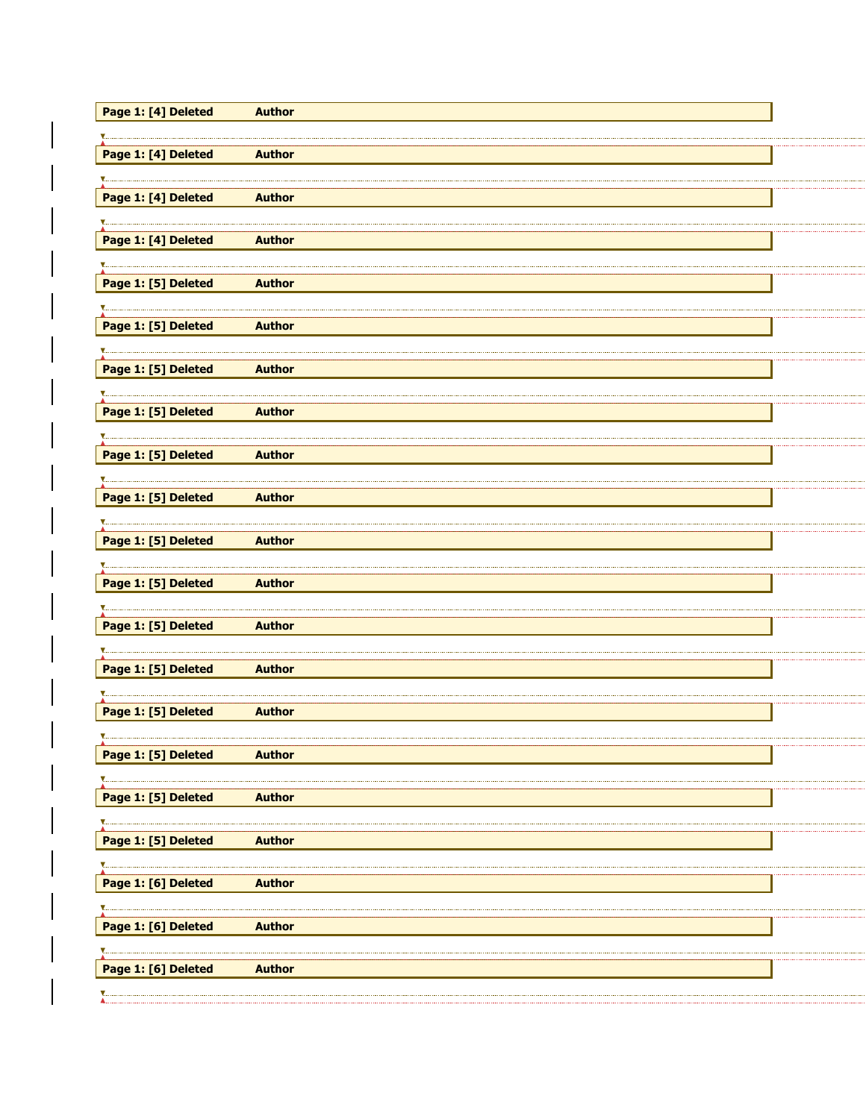| Page 1: [4] Deleted | <b>Author</b> |  |
|---------------------|---------------|--|
|                     |               |  |
| Page 1: [4] Deleted | <b>Author</b> |  |
|                     |               |  |
| Page 1: [4] Deleted | <b>Author</b> |  |
|                     |               |  |
| Page 1: [4] Deleted | <b>Author</b> |  |
|                     |               |  |
| Page 1: [5] Deleted | <b>Author</b> |  |
|                     |               |  |
| Page 1: [5] Deleted | <b>Author</b> |  |
|                     |               |  |
| Page 1: [5] Deleted | <b>Author</b> |  |
|                     |               |  |
| Page 1: [5] Deleted | <b>Author</b> |  |
|                     |               |  |
| Page 1: [5] Deleted | <b>Author</b> |  |
|                     |               |  |
| Page 1: [5] Deleted | <b>Author</b> |  |
|                     |               |  |
| Page 1: [5] Deleted | <b>Author</b> |  |
|                     |               |  |
| Page 1: [5] Deleted | <b>Author</b> |  |
|                     |               |  |
| Page 1: [5] Deleted | <b>Author</b> |  |
|                     |               |  |
| Page 1: [5] Deleted | <b>Author</b> |  |
|                     |               |  |
| Page 1: [5] Deleted | <b>Author</b> |  |
|                     |               |  |
| Page 1: [5] Deleted | <b>Author</b> |  |
|                     |               |  |
| Page 1: [5] Deleted | <b>Author</b> |  |
|                     |               |  |
| Page 1: [5] Deleted | <b>Author</b> |  |
|                     |               |  |
| Page 1: [6] Deleted | <b>Author</b> |  |
|                     |               |  |
| Page 1: [6] Deleted | <b>Author</b> |  |
|                     |               |  |
| Page 1: [6] Deleted | <b>Author</b> |  |
|                     |               |  |
|                     |               |  |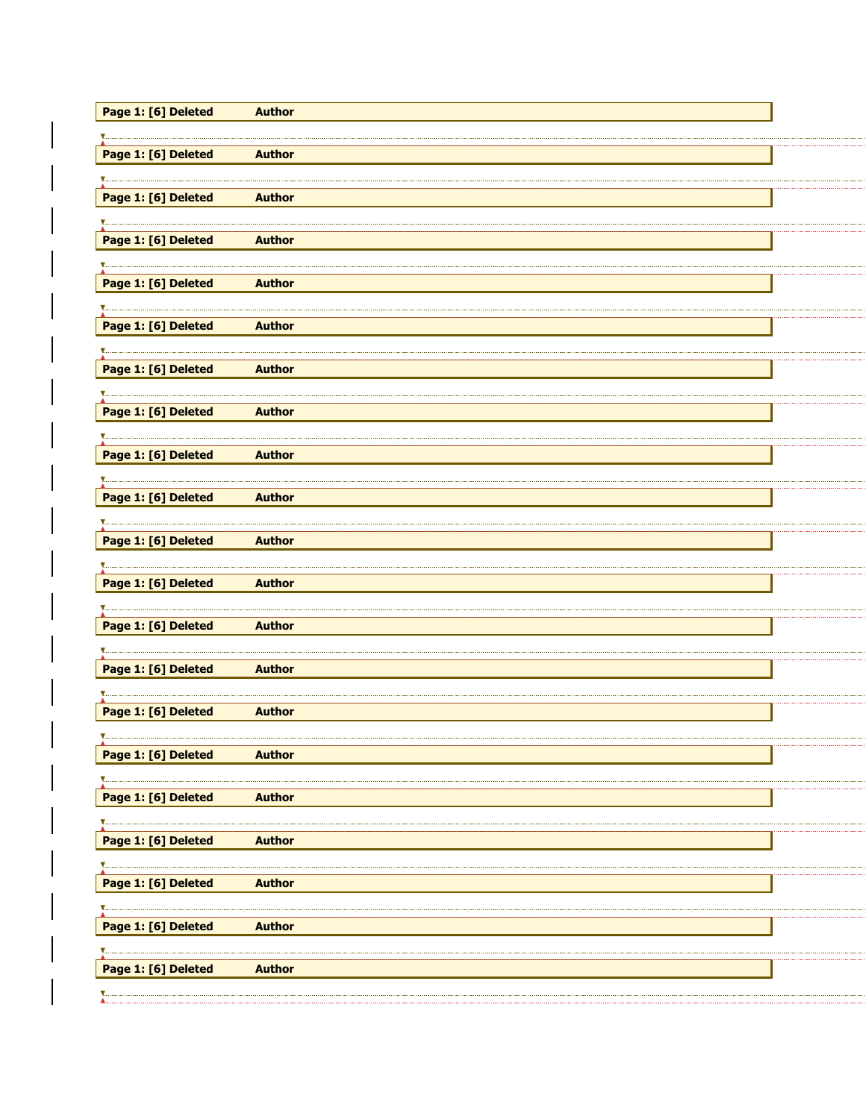| Page 1: [6] Deleted | <b>Author</b> |  |
|---------------------|---------------|--|
|                     |               |  |
| Page 1: [6] Deleted | <b>Author</b> |  |
|                     |               |  |
| Page 1: [6] Deleted | <b>Author</b> |  |
|                     |               |  |
| Page 1: [6] Deleted | <b>Author</b> |  |
|                     |               |  |
| Page 1: [6] Deleted | <b>Author</b> |  |
|                     |               |  |
| Page 1: [6] Deleted | <b>Author</b> |  |
|                     |               |  |
| Page 1: [6] Deleted | <b>Author</b> |  |
|                     |               |  |
| Page 1: [6] Deleted | <b>Author</b> |  |
|                     |               |  |
| Page 1: [6] Deleted | <b>Author</b> |  |
|                     |               |  |
| Page 1: [6] Deleted | <b>Author</b> |  |
|                     |               |  |
| Page 1: [6] Deleted | <b>Author</b> |  |
|                     |               |  |
| Page 1: [6] Deleted | <b>Author</b> |  |
|                     |               |  |
| Page 1: [6] Deleted | <b>Author</b> |  |
|                     |               |  |
| Page 1: [6] Deleted | <b>Author</b> |  |
|                     |               |  |
| Page 1: [6] Deleted | <b>Author</b> |  |
|                     | <b>Author</b> |  |
| Page 1: [6] Deleted |               |  |
| Page 1: [6] Deleted | <b>Author</b> |  |
|                     |               |  |
| Page 1: [6] Deleted | <b>Author</b> |  |
|                     |               |  |
| Page 1: [6] Deleted | <b>Author</b> |  |
|                     |               |  |
| Page 1: [6] Deleted | <b>Author</b> |  |
|                     |               |  |
| Page 1: [6] Deleted | <b>Author</b> |  |
|                     |               |  |
|                     |               |  |